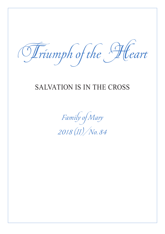Triumph of the Heart

## SALVATION IS IN THE CROSS

Family of Mary 2018 (II)/No. 84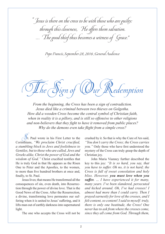" Jesus is there on the cross to be with those who are guilty: through this closeness, He offers them salvation. …The good thief thus becomes a witness of Grace."

Pope Francis, September 28, 2016 ;General Audience

 $\overline{h}e$  Sign of  $(\mathcal{O})$ ur Redemption

*From the beginning, the Cross has been a sign of contradiction. Jesus died like a criminal between two thieves on Golgotha. How did a wooden Cross become the central symbol of Christian faith, when in reality it is a pillory, and is still so offensive to other religions and non-believers that they fight to have it removed from public places? Why do the demons even take flight from a simple cross?*

 $\mathcal{D}$ t. Paul wrote in his First Letter to the Corinthians, *"We proclaim Christ crucified, a stumbling block to Jews and foolishness to Gentiles, but to those who are called, Jews and Greeks alike, Christ the power of God and the wisdom of God."* Christ crucified testifies that He is truly God in that He appears as the Risen One to Peter and the Apostles, to the women, to more than five hundred brothers at once and, finally, to St. Paul.

Jesus lives; that means He transformed all the consequences of sin, even death, into Resurrection through the power of divine love. That is the Good News of the Cross. After the Resurrection, a divine, transforming love permeates our suffering when it is united to Jesus' suffering, and it lifts man out of earthly darkness into supernatural light.

The one who accepts the Cross will not be

crushed by it. So that is why the Cure of Ars said, *"You don't carry the Cross; the Cross carries you."* Only those who have first understood the mystery of the Cross can truly grasp the depth of Christian joy.

John Maria Vianney further described the key to this joy: *"It is so hard, you say, that you have to suffer. Oh no, it is not hard; the Cross is full of sweet consolation and holy bliss. However, you must love when you suffer. … I have experienced it for many, many years. I've been slandered, persecuted and kicked around. Oh, I've had crosses! I almost had more than I could carry. Then I prayed earnestly for love of the crosses, and I felt content, so content! I said to myself: truly, there is only one beatitude, the Cross! One never has to ask from where the crosses come, since they all come from God. Through them,*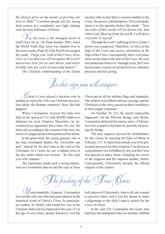*He always gives us the means of proving our love to Him!"* Countless people left Ars seeing their crosses in a completely new light, shining with the holy brilliance of Easter.

 $\ell$  es, the cross is the strongest proof of God's love for us. On Palm Sunday 2003, when the World Youth Day cross was handed over to the next country, Pope St. John Paul II encouraged the youth, *"I urge you: look at this Cross, draw close to it so that you will recognize the Lord's marvelous love for us and throw yourselves joyfully into his work of renewing hearts!"*

The Christian understanding of the Easter

mystery tells us that there is a power hidden in the Cross, the power of Redemption. The Lord spoke about it to His apostles before His death: *"Now the ruler of this world will be driven out. And when I am lifted up from the earth, I will draw everyone to myself."*

Through the Lord's suffering of love, Satan's power was conquered. Therefore, we bless in the Sign of the Cross and receive absolution in the Sign of the Cross. Consequently, there is no place more secure than at the foot of the Cross, the only true protection from evil. Through Jesus, the Cross has become a source of salvation for us, infinitely precious and life-giving.

In this sign you will conquer

(Uhrist's Cross played a decisive role in putting an end to the 250-year Christian persecution under the Roman emperors! How did this happen?

When Constantine crossed the Alps into Italy in the spring of 312 with 40,000 soldiers to dethrone his rival, Emperor Maxentius, he encountered an opposition three times his size. He believed, according to the customs of the time, the oracle of a pagan priest which predicted his defeat.

In his great need, the young general, who at the time worshiped Apollo, the "invincible sun god", turned for the first time to the God of the Christians. In a vision, he saw a radiant cross in the sky under which was written, *"In this sign you will conquer."* 

The experience made such a strong impression on Constantine that he had the sign of Jesus Christ put on all his military flags and standards. The soldiers were filled with new courage, and the Christians in the army passed on their confidence to their pagan comrades.

On October 28, 312, the nearly impossible happened. On the Milvian Bridge near Rome, Constantine defeated the enemy army of Maxentius who wanted to fool him by partially destroying the bridge.

The new emperor showed his thankfulness for the victory by enacting the Edict of Milan in February 313. It stated that nobody was to be persecuted anymore for their religion. Crucifixion as a punishment was forbidden by law and the Cross was placed on many items, including the crown of the emperor and his empress mother, Helen. Consequently, Christianity became the official religion of the empire

The finding of the (Offrue (Oross

 $\ell$ nderstandably, Emperor Constantine was not the only one who had great interest in the historical wood of Christ's Cross. In particular, his mother, St. Helen, who found her way to the Christian faith and was baptized in the year 312 at the age of sixty-three, greatly desired to visit the

holy places of Christianity. Above all, she wanted to preserve them, and it was her dream to make a pilgrimage to the Holy Land to search for the Cross of Christ.

In the year 325, Constantine the Great, who had been the undisputed ruler for months, fulfilled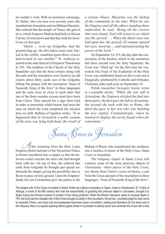his mother's wish. With an enormous entourage, St. Helen, who was now over seventy years old, marched into Jerusalem and met Bishop Macarius. She ordered that the temple of Venus, the god of love, which Emperor Hadrian had built on Mount Calvary, be torn down and that they look for Jesus' Cross on that spot.

*"Helen … went up Golgotha, had the ground dug up, the dirt taken away and, buried in the rubble, stumbled upon three crosses intertwined in one another"* St. Ambrose reported at the state funeral of Emperor Theodosius in 395. The tradition of the Church of the Holy Sepulcher says that the three crosses along with the nails and the inscription were found in an old cistern about thirty yards east of the Golgotha hilltop.The plaque with the inscription "Jesus of Nazareth, King of the Jews" in three languages and the nails were so close to each other that one of the three wooden crosses must have been from Christ. They prayed for a sign from God in order to determine which beams had been the ones on which the Lord completed His mission here on earth. Rufinus of Aquileia writes, *"It so happened that in Jerusalem a noble woman of the area was lying half-dead, the result of*  *a serious illness. Macarius was the bishop of the community at the time. When he saw the Empress and all the others standing there undecided, he said, 'Bring all the crosses that were found. God will reveal to us which one He carried.' … When the third cross was laid upon her, the gravely ill woman opened her eyes, stood up … and started praising the power of the Lord."*

On September 14, 335, the day after the consecration of the basilica which in the meantime had been erected over the Holy Sepulcher, the Cross was "lifted up" for the first time for veneration.The Feast of the Exaltation of the Holy Cross was established based on this event and is liturgically celebrated by Catholic and Orthodox Christians alike each year on September 14.

Polish researcher Grzegorz Gorny wrote in a scientific article, *"While she was still in Jerusalem, the Empress divided the find into three parts: the first part she left in Jerusalem, the second she took with her to Rome, the third she gave to her son who was building the new capital, Constantinople, where he wanted to display the newly found relics for veneration."*

Santa Croce in Jerusalem

The returning from the Holy Land, Empress Helen had part of her Sessorium Palace in Rome remodeled into a chapel so that the believers could venerate the relics she had brought back with her. On top of that, she ordered that earth from Golgotha be brought and spread underneath the chapel, giving the possibility also in Rome to pray on holy ground. Upon the Empress' death, her son Constantine gave the palace to the

Bishop of Rome who transformed the residence into a basilica in honor of the Holy Cross, Santa Croce in Jerusalem.

The reliquary chapel in Santa Croce still contains some of the most precious objects of Christianity—three pieces of the Holy Cross, two thorns from Christ's crown of thorns, a nail from the Cross and part of the inscription in three languages, "Jesus of Nazareth, King of the Jews".

The largest relic of the Cross is located in Santo Toribio de Liébana monastery in Spain, close to Garabandal. St. Turibio of Astorga, a monk of the fifth century who had the responsibility of guarding this precious object in Jerusalem, brought it to Spain during the Persian invasion to protect it from being profaned. When the Muslim Saracens came to conquer Spain in 754, the king had the valuable relic of the Cross brought to safety in the mountains. Since then, countless pilgrims have come to venerate it there, and many sick and possessed have been given consolation, healing and liberation.On the lower part of the reliquary there is a square opening without glass where it is possible to directly touch and venerate the Cross with a kiss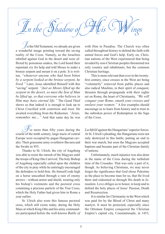

In the Old Testament, we already are given a wonderful image pointing toward the saving reality of the Cross. Namely, as the Israelites rebelled against God in the desert and were afflicted by poisonous snakes, the Lord heard their repentant cry for help and told Moses to make a bronze serpent and mount it on a pole. It is written, *"whenever anyone who had been bitten by a serpent looked at the bronze serpent, he lived."* Later, Jesus identified Himself with this "saving" serpent: *"Just as Moses lifted up the serpent in the desert, so must the Son of Man be lifted up, so that everyone who believes in Him may have eternal life."* The Good Thief shows us that indeed it is enough to look up to Christ Crucified with contrition and trust. He awaited everything from the Redeemer, *"Jesus, remember me…"* And that same day he was

 $\mathscr F$  or more than fifty years during the course of the tenth century, large tracts of central Europe were occupied by pagan Hungarian cavalry. Their gruesome army overthrew Bavaria and the Swabs in 955.

Thanks to St. Ulrich, the city of Augsburg was able to resist the onrush of the Magyars until the troops of King Otto I arrived. The holy Bishop of Augsburg especially called upon the children of the city to pray while he untiringly encouraged the defenders to hold firm. He himself rode high on a horse unscathed through a rain of enemy arrows—without armor and shield, wearing only his bishop's vestments and the pectoral cross containing a precious particle of the True Cross, which the Holy Father had given him in Rome a year earlier.

St. Ulrich also wore this famous pectoral cross, which still exists today, during the Holy Mass at which King Otto and his army commanders participated before the well-known *Battle of*  with Him in Paradise. The Church was often called throughout history to defend the faith with united forces and God's help. Early on, Christian nations of the West experienced that being invaded by non-Christian peoples threatened not only country and inhabitants, but the common Christian heritage.

This is more relevant than ever in the twentyfirst century, since crosses in the West are being "voluntarily" removed from public places and also radical Muslims, in their spirit of conquest, threaten through propaganda with their sights set on Rome, the heart of Christianity, *"We will conquer your Rome, smash your crosses and enslave your women."* A few examples should encourage us to learn from history and to trust in the unbroken power of Redemption in the Sign of the Cross.

*Lechfeld* against the Hungarians' superior forces. At St. Ulrich's pleading, the Hungarians were not only destroyed in this battle, putting an end to their war march, but soon the Magyars accepted baptism and became part of the Christian family of nations.

Unfortunately, much injustice was also done in the name of the Cross during the turbulent time of the Crusades. That was only a part of it, though. As believing Christians, we may never forget the significance that God chose Palestine as the place to become man for us, that He lived there and redeemed us through His death in Jerusalem. Love obliges us to honor, to keep and to defend the holy places of Jesus' Passion, Death and Resurrection.

It is similar for Christianity in the West which was paid for by the Blood of Christ and many martyrs. It must be protected, especially since the Ottoman Empire conquered the Christian Empire's capital city, Constantinople, in 1453,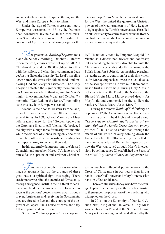and repeatedly attempted to spread throughout the West and make Europe submit to Islam.

Under the sign of Turkey's crescent moon, Europe was threatened in 1571 by the Ottoman fleet, considered invincible, in the Mediterranean Sea under the command of Ali Pasha. The conquest of Cyprus was an alarming sign for the

The great naval *Battle of Lepanto* took place on Sunday morning, October 7. Before it commenced, crosses were set up on all 211 Christian ships, and the 30,000 soldiers, together with the sailors, did what their commander Juan de Austria did on the flag ship "La Real", kneeling down before the cross with folded hands and imploring God and Mary for assistance. The "Holy League" defeated the significantly more numerous Ottoman armada. In thanksgiving for Mary's mighty intervention, Pius V declared October 7 a memorial: "Our Lady of the Rosary", reminding us to this day how Europe was saved.

Vienna is the door to western Europe, and, as such, it was the goal of the Ottoman Empire several times. In 1683, Grand Vizier Kara Mustafa, reached anew for the "Golden Apple", as the Ottomans liked to call Vienna. He besieged the city with a huge force for nearly two months while the citizens of Vienna, being only one-third in number, offered heroic resistance waiting for the imperial army to come to their aid.

In this extremely dangerous time, the blessed Capuchin and preacher Marco d'Aviano proved himself as the "protector and savior of Christian-

 $\mathbb{Z}_{\text{his}}$  was yet another occasion which made it apparent that on the grounds of these great battles a spiritual fight was raging. There are demons who blind the enemies of Christianity through arrogance, instill in them a thirst for conquest and lend them courage to die. However, as soon as the demons' power is taken away through prayer, forgiveness and receiving the Sacraments, they are forced to flee and the courage of the aggressor collapses like a house of cards and they fall into panic and confusion.

So, we as "ordinary people" can cooperate

"Rosary Pope" Pius V. With the greatest concern for the West, he united the quarreling Christian powers of the Mediterranean in a "Holy League" to fight against the Turkish power at sea. He called on all Christianity to storm heaven with the Rosary and had the Eucharistic Lord adored in monasteries and convents day and night.

ity". He not only stood by Emperor Leopold I in Vienna as a determined advisor and confessor, but as papal legate, he was also able to unite the Christian army generals under the command of the Polish king, Jan Sobieski. An inspiring preacher, he led the troops to contrition for their sins which, as Fr. Marco emphasized, were the actual cause of the scourge of war. He awoke in them enthusiastic trust in God's help. During Holy Mass in Sobieski's tent on the Feast of the Nativity of the Blessed Virgin Mary, Marco prayed deeply for Mary's aid and commended to the soldiers the battle cry "Jesus, Mary! Jesus, Mary!"

During the famous *Battle of Kahlenberg* on September 12, the Capuchin stood on Kahlenberg hill with a crucifix held high and prayed aloud, *"Ecce crucem Domini, fugite partes adversae—Behold the Lord's Cross, flee you enemy powers!"* He is also to credit that, through the attack of the Polish cavalry coming down the Kahlenberg hill, the Ottoman army finally fled in panic and was defeated. Remembering once again how the West was saved through Mary's intercession, Pope Innocence XI established the Feast of the Most Holy Name of Mary on September 12.

just as much as influential politicians—with the Cross of Christ more in our hearts than in our hands—that God's power and Mary's intercession have an effect on history.

There are still rulers today who have the courage to place their country and the people entrusted to them under the protection of the true King who triumphed on the Cross.

In 2016, on the Solemnity of Our Lord Jesus Christ, King of the Universe, a Holy Mass was celebrated in Poland at the Shrine of Divine Mercy in Cracow-Lagiewniki and attended by the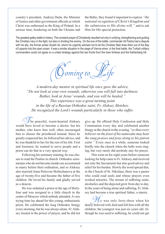country's president, Andrzej Duda, the Minister of Justice and other government officials at which Christ was enthroned as the King of Poland. In a serious time, bordering on both the Ukraine and

the Baltic, they found it important to express *"the national recognition of Christ's Kingdom and the submission to His divine will,"* and to ask Him for His special protection.

The greatest galley battle in history. The constant prayer of Christianity resulted not only in unifying, strengthening and guiding the Christian navy in the fight, but also in dividing the enemy. On the eve of the battle, commander Ali Pasha had a dispute with his ally, the former pirate Uludsh Ali, whom he urgently advised not to let the Christian fleet draw them out of the Bay of Lepanto into the open ocean. It was a similar situation in the siege of Vienna when, in the final battle, the Turkish military commanders could not agree on a united strategy against the two fronts from the town fortress and the Kahlenberg hill.

Coming to Life

*A modern-day mentor in spiritual life once gave the advice, "Do not look at your own wounds, otherwise you will fall into darkness. Rather, look at Jesus' wounds, and you will be healed." This experience was a great turning point in the life of a Russian Orthodox saint, Fr. Aleksey Metshov. He recognized the Lord's wounds particularly in those who suffer.*

 $\mathcal{I}_{\text{he}}$  peaceful, warm-hearted Aleksey would have loved to become a doctor, but his mother, who knew him well, often encouraged him to choose the priesthood instead. Since he greatly respected her, he followed her advice, and he was thankful to her for the rest of his life. First and foremost, he wanted to serve people and a priest can do that in a very special way.

Following his seminary training, he was chosen to read the Psalms in church. Orthodox seminarians who do not become monks are accustomed to marry before their ordination, and so Aleksey also married Anna Petrovna Moltschanova at the age of twenty-five and became the father of five children. He loved his family and gladly served as a deacon.

He was ordained a priest at the age of thirtyfour and was assigned to a little church in the center of Moscow which nobody attended. A very trying time lay ahead for this young, enthusiastic priest. He celebrated the long Orthodox liturgy every morning, but he was always alone. Fr. Aleksey trusted in the power of prayer, and he did not give up. He offered Holy Confession and Holy Communion every day and celebrated another liturgy at the church in the evening *"so that every believer on the feast of his namesake may hear the sung praises and pray along to his patron saint."* Every once in a while, someone looked briefly into the church when the bells were ringing, but very rarely did anybody stay for prayer.

This went on for eight years before someone looking for help came to Fr. Aleksey and received not only the Sacraments but also good advice and relief for his burden. Slowly the word spread that, in the Church of St. Nikolaus, there was a pastor who could read souls and whose prayers even worked miracles. The stream of suffering souls, alcoholics and the dejected grew from day to day. In the years of being alone and suffering, Fr. Aleksey had become a true spiritual father, a starets.

 $\mathcal{U}_e$  was only forty-three when his dearly beloved wife died and left him with all the children; the youngest was just six years old. Although he was used to suffering, he could not get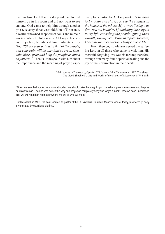over his loss. He fell into a deep sadness, locked himself up in his room and did not want to see anyone. God came to help him through another priest, seventy-three-year-old John of Kronstadt, a world-renowned shepherd of souls and miracle worker. When Fr. John saw Fr. Aleksey in his pain and dejection, he advised him, enlightened by God, *"Share your pain with that of the people, and your pain will be only half as great. Console, bless, pray and help the people as much as you can."* Then Fr. John spoke with him about the importance and the meaning of prayer, especially for a pastor. Fr. Aleksey wrote, *"I listened to Fr. John and started to see the sadness in the hearts of the others. My own suffering was drowned out in theirs. I found happiness again in my life, consoling the people, giving them warmth, loving them. From that point forward, I became another person. I truly came to life."*

From then on, Fr. Aleksey served the suffering Lord in all those who came to visit him. His merciful, forgiving love was his fortune; therefore, through him many found spiritual healing and the joy of the Resurrection in their hearts.

Main source: «Пастырь добрый». С.В.Фомин. М. «Паломник». 1997. Translated: "The Good Shepherd", Life and Works of the Starets of Moscowby S.W. Fomin

"When we see that someone is down-trodden, we should take the weight upon ourselves, give him reprieve and help as much as we can. The one who acts in this way and prays can completely deny and forget himself. Once we have understood this, we will not falter, no matter where we are or who we meet."

Until his death in 1923, the saint worked as pastor of the St. Nikolaus Church in Moscow where, today, his incorrupt body is venerated by countless pilgrims.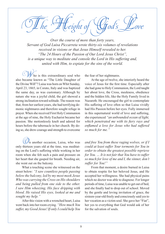The Height of God's Love

*Over the course of more than forty years, Servant of God Luisa Piccarreta wrote thirty-six volumes of revelations received in visions or that Jesus Himself revealed to her. "The 24 Hours of the Passion of Our Lord Jesus Christ", is a unique way to meditate and console the Lord in His suffering and, united with Him, to expiate for the sins of the world.*

ho is this extraordinary soul who also became known as "The Little Daughter of the Divine Will"? Luisa was born on Whit Sunday, April 23, 1865, in Corato, Italy and was baptized the same day, as was customary. Although by nature she was a joyful child, the girl showed a strong inclination toward solitude. The reason was that, from her earliest years, she had terrifying demonic nightmares and therefore sought refuge in prayer. When she received First Holy Communion at the age of nine, the Holy Eucharist became her passion. She motionlessly knelt and adored for hours before the tabernacle in her church. By doing so, she drew courage and strength to overcome

 $\mathcal{V}_n$  another occasion, Luisa, who was only thirteen years old at the time, was meditating on the Lord's suffering while working in her room when she felt such a pain and pressure on her heart that she gasped for breath. Needing air, she went out on the balcony.

What a touching scene she witnessed on the street below: *"I saw countless people passing below the balcony, led by my most meek Jesus Who was carrying the Cross on His shoulders and being pulled from one side to the other. I saw Him wheezing, His face dripping with blood. He raised His eyes, looked at me and sought my help."*

After this vision with a wrenched heart, Luisa went back into her room crying. *"How much You suffer, my Good Jesus! If only I could help You*  the fear of her nightmares.

At the age of twelve, she interiorly heard the voice of Jesus for the first time. Especially after she had gone to Holy Communion, the Lord taught her about love, the Cross, meekness, obedience and the hidden life, like the Holy Family lived in Nazareth. He encouraged the girl to contemplate His suffering of love often so that Luisa vividly had His Passion before her eyes. Fully immersed in this supernatural world of love and suffering, she experienced *"an unbounded ocean of light, which penetrated me with its fiery rays and enflamed a love for Jesus who had suffered so much for me."*

*and free You from these raging wolves, or if I could at least suffer Your torments for You in order to obtain the greatest possible reprieve for You. … It is not fair that You have to suffer so much for love of me and I, the sinner, don't suffer for You!"* 

From that moment, a desire burned in Luisa to obtain respite for her beloved Jesus, and He accepted her willingness. She had physical pains which no doctor was able to diagnose. For longer periods of time, Luisa was unable to get out of bed, and she finally had to drop out of school. Moved by the gentle and loving invitation of grace, the sixteen-year-old freely and consciously said yes to her vocation as a victim soul. She gave her "Fiat", her yes to everything that God would ask of her for the salvation of souls.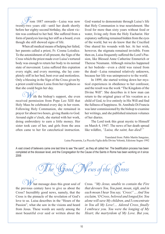From 1887 onwards—Luisa was now twenty-two years old—until her death shortly before her eighty-second birthday, the silent victim was confined to her bed. She suffered from a form of paralysis leaving her stiff as a board, even though she still showed signs of life.

When all medical means of helping her failed, her parents called a priest, Fr. Cosma Loiodice. To the astonishment of all present, the Sign of the Cross which the priest made over Luisa's tortured body was enough to return her body to its normal state of movement. Luisa suffered this expiation every night, and every morning, she lay completely stiff in her bed, bent over and motionless. Only a blessing in the Sign of the Cross given by a priest could release Luisa from her rigidness so that she could begin her day.

ith the bishop's support, she even received permission from Pope Leo XIII that Holy Mass be celebrated every day in her room. Following Holy Communion, she remained in prayer for about two hours, giving thanks to God. Around eight o'clock, she started with her work, doing embroidery to earn a little money. Her sister took care of her, and girls from the area often came to her for catechetical instruction.

God wanted to demonstrate through Luisa's life that Holy Communion is true nourishment. She lived for more than sixty years without food or water, living only from the Holy Eucharist. Her expiatory suffering remained hidden from the eyes of the world, but we do know that the Crucified One shared his wounds with her. At her wish, however, the stigmata remained invisible. From then on, Luisa frequently suffered the Lord's Passion, like Blessed Anne Catherine Emmerich or Therese Neumann. Although miracles happened at her bedside—even a child was raised from the dead—Luisa remained relatively unknown, because her life was unimpressive to the world.

In 1899, she started writing down her mystical experiences in obedience to her confessor, and the result was the work "The Kingdom of the Divine Will". She describes in it how man can return to the original grace of his vocation as a child of God, to live entirely in His Will and find the fullness of happiness. St. Annibale Di Francia was later commissioned by the bishop to examine her writings, and she published nineteen volumes of her diaries.

The Lord took this great mystic to Himself on March 4, 1947. The news of her death spread like wildfire, *"Luisa, the saint, has died!"* 

Translated from: Pablo Martín Sanguiao, Luisa Piccarreta, La Piccola Figlia della Divina Volontà, Edizione Segno 1992

A vast crowd of believers came one last time to see "the saint", as they all called her. The beatification process has been completed at the diocesan level, and the Congregation for the Cause of the Saints in Rome has been working on it since 2006

Tews of the  $\bigcirc$  ross

hat message does this great soul of the previous century have to give us about the Cross? Incredibly good news, namely, that the Cross is the pinnacle of the revelation of God's love to us. Luisa describes in the "Hours of the Passion", what she saw in the visions and heard from Jesus. These words are surely among the most beautiful ever said or written about the

Cross. *"My Jesus, unable to contain the Fire that devours You, You pant, moan, sigh, and in each moan I hear You say, 'Cross!' … And You exclaim,'O Cross, beloved and longed for, You alone will save My children, and I concentrate in You all My Love!… Adored Cross, finally I embrace you. You were the longing of My Heart, the martyrdom of My Love. But you,*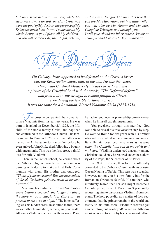*O Cross, have delayed until now, while My steps were always toward you. Holy Cross, you were the goal of My desires, the purpose of My Existence down here. In you I concentrate My whole Being, in you I place all My children, and you will be their Life, their Light, defense,*  *custody and strength. O Cross, it is true that you are My Martyrdom, but in a little while you will also be My Victory and My Most Complete Triumph; and through you I will give abundant Inheritances, Victories, Triumphs and Crowns to My children.'"*

The Defeated Defeats

*On Calvary, Jesus appeared to be defeated on the Cross, a loser; but, the Resurrection shows that, in the end, He was the victor. Hungarian Cardinal Mindszenty always carried with him a picture of the Crucified Lord with the words, "The Defeated defeats" and from it drew the strength to remain faithful to Christ, even during the terrible tortures in prison. It was the same for a Romanian, Blessed Vladimir Ghika (1873-1954).*

 $\mathbb Z$ he cross accompanied the Romanian prince Vladimir from his earliest years. He was born in Istanbul on December 25, 1873, the fifth child of the noble family Ghika, and baptized and confirmed in the Orthodox Church. His family moved to Paris in 1878, when his father was named the Ambassador to France. Yet before he even arrived, John Ghika died following a bought with pneumonia. This was the first great, painful loss for little Vladimir!

Then, in the French school, he learned about the Catholic religion through his friends and was burning with desire to make a First Holy Communion with them. His mother was outraged, *"Think of your ancestors! You, the descendant of Greek Orthodox princes, want to become a traitor?"*

Vladimir later admitted, *"I waited sixteen years before I decided; the longer I waited, the more my soul caught fire. This call was present to me even at night!"* The inner suffering was his hidden cross; in addition to this, there was a further humiliation, namely, his poor health. Although Vladimir graduated with honors in Paris,

he had to renounce his planned diplomatic career when he himself caught pneumonia.

Yet, precisely through this sacrifice, God was able to reveal his true vocation step by step. He went to Rome for six years with his brother who had been called to the Romanian embassy in Italy. He later described these years as *"a time when the Catholic faith seized my spirit and my heart."* Vladimir understood that unity among Christians could only be realized under the authority of the Pope, the Successor of St. Peter.

In 1902 in Rome, therefore, he officially converted to the Catholic Church with his cousin, Queen Natalia of Serbia. This step was a scandal, however, not only to his own family but for the Romanian Orthodox faithful. His mother, who intuitively feared that her son might become a Catholic priest, turned to Pope Pius X personally, requesting him to discourage Vladimir from such plans. The holy pope did, as a matter of fact, recommend that the prince remain in the world and testify to his faith there. Vladimir received yet another blow, but he obeyed! When an Orthodox monk who was touched by his decision asked him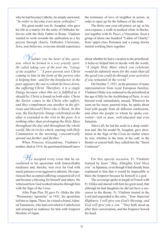why he had become Catholic, he simply answered, *"In order to become even more orthodox!"*

His great model was St. Josaphat, who gave his life as a martyr for the unity of Orthodox believers with the Holy Father in Rome. Vladimir wanted to work towards the unification as a lay person through charity. Orthodox Christians, Jews, non-believers, everyone should experience

V*ladimir was the heart of this operation, which he formed in a very priestly spirit. He called taking care of the poor the "Liturgy of the neighbor". "A poor person sees Christ coming to him in the form of the person who is helping him—and for the benefactor, in the poor appears the one to whom he bows down, the suffering Christ. Therefore, it is a single liturgy because when this act is fulfilled as it should be, Christ is found on both sides. Christ the Savior comes to the Christ who suffers, and they complement one another in the glorious and blessed Christ who is Risen. In this way, the Eucharistic liturgy celebrated on the altar is extended in the visit to the poor. It is nothing other than prolonging the Holy Mass throughout the day and throughout the whole world, like in circles which, starting with Holy Communion in the morning, concentrically spread out further and further."*

When Princess Alexandrine, Vladimir's mother, died in 1914, he questioned himself anew

He accepted every cross that he encountered in his apostolate with indescribable meekness and, thereby, won over for God with much patience even aggressive atheists. He experienced that accepted suffering conquered all evil and became a blessing for himself and others. He witnessed how God worked miracles through him with the Sign of the Cross.

After Pope Pius XI gave Fr. Ghika the title "Protonotary Apostolic" in 1931, his apostolate led him to Japan. There, he visited a friend, Admiral Yamamoto, who had converted to Catholicism and arranged an audience for him with Emperor Hirohito of Japan.

the testimony of love of neighbor in action, in order to open up for the fullness of the truth.

The thirty-one-year-old prince set up, at his own expense, a walk-in medical clinic in Bucharest together with Sr. Pucci, a Vincentian. Soon a group of about one hundred "Ladies of Charity" from upper-class Romania and a young doctor started working there together.

about whether he had a vocation to the priesthood. A believer helped him to decide with the words, *"A single Holy Mass which you celebrate would do infinitely more for the souls than all the good you could do through your activities if you remained in the world."*

On October 7, 1923, in the presence of many representatives from royal European families, Vladimir Ghika was ordained to the priesthood at the age of fifty by the Archbishop of Paris. A very blessed work immediately ensued. Wherever he went on his many pastoral trips, he spoke about God with people from all different confessions, and often the people to whom he spoke converted—rich or poor, well-educated and even Satanists.

Above all, he led the souls to a deep contrition and, like his model St. Josaphat, gave absolution in the Sign of the Cross no matter where he was, whether in the train, at the café, in the theater or concert hall; they called him the "Street Confessor".

For this special occasion, Fr. Vladimir learned by heart *"May Almighty God bless you"* in Japanese, even though it had already been explained to him that it would be impossible to bless the Emperor because he himself is a god.

The sovereign spoke at length in French with Fr. Ghika and shared with him his great need, that although he had daughters he did not have a successor to the throne. Fr. Vladimir trusted in the Lord and responded to the ruler, *"Your Imperial Highness, I will give you God's blessing, and God will give you a son."* They both stood up after their conversation, and the Emperor bowed his head.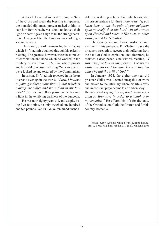As Fr. Ghika raised his hand to make the Sign of the Cross and speak the blessing in Japanese, the horrified diplomats present rushed at him to stop him from what he was about to do; yet, their "god on earth" gave a sign to let the stranger continue. One year later, the Emperor was holding a son in his arms.

This is only one of the many hidden miracles which Fr. Vladimir obtained through his priestly blessing. The greatest, however, were the miracles of consolation and hope which he worked in the military prison from 1952-1954, where priests and laity alike, accused of being "Vatican Spies", were locked up and tortured by the Communists.

In prison, Fr. Vladimir repeated in his heart over and over again the words, *"Lord, I believe in your goodness more than in that which is making me suffer and more than in my torment."* So, for his fellow prisoners he became a light in the terrifying darkness of the dungeon.

He was now eighty years old, and despite being five-foot-nine, he only weighed one hundred and ten pounds. Yet, Fr. Ghika remained unshakable, even during a farce trial which extended his prison sentence for three more years. *"If you know how to take the pain of your neighbor upon yourself, then the Lord will take yours upon Himself and make it His own, in other words, use it for Salvation."*

The gloomy prison cell was transformed into a church in his presence. Fr. Vladimir gave the prisoners strength to accept their suffering from the hand of God as expiation; and, therefore, he radiated a deep peace. One witness recalled, *"I saw true freedom in this person. The prison walls did not exist for him. He was free because he did the Will of God."*

In January 1954, the eighty-one-year-old prisoner Ghika was deemed incapable of work and moved to the infirmary where his life slowly and in constant prayer came to an end on May 16. He was heard saying, *"Lord, don't leave me. I cling to Your love in order to triumph over my enemies."* He offered his life for the unity of the Orthodox and Catholic Church and for his country Romania.

Main source: Antonio Maria Sicari, Ritratti di santi, Bd. 9, Beato Wladimir Ghika, S. 123 ff., Mailand 2006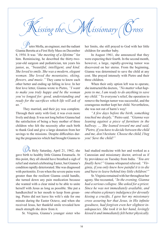issing the  $\bigcup\mathcal{M}$  issionary

Pietro Molla, an engineer, met the radiant Gianna Beretta at a First Holy Mass on December 8, 1954. It was *"the meeting of a lifetime"* for him. Reminiscing, he described the thirty-twoyear-old surgeon and pediatrician, ten years his junior, as, *"beautiful, intelligent, and kind. She loved to smile. She was a modern, elegant woman. She loved the mountains, skiing, flowers, and music."* They came to know each other better and ending up falling in love. In her first love letter, Gianna wrote to Pietro, *"I want to make you truly happy and be the woman you've longed for: good, understanding and ready for the sacrifices which life will ask of us."*

They married, and their joy was complete. Through their unity with God, it was even more lively and deep. It was not long before Gianna had the satisfaction of being a busy mother of three children who felt the necessity after each birth to thank God and give a large donation from her savings to the missions. Despite difficulties during the pregnancies which had brought Gianna to

 $\mathbb{Q}$ n Holy Saturday, April 21, 1962, she gave birth to healthy little Gianna Emanuela. At this point, they all should have breathed a sigh of relief and started celebrating Easter, but Gianna's condition rapidly deteriorated. She was diagnosed with peritonitis. Even when the severe pains were greater than the resilient Gianna could handle, she turned down any pain medication because she wanted with a clear mind to be able to unite herself with Jesus as long as possible. She put a handkerchief in her mouth to keep from groaning. Pietro did not leave his wife's side for one minute during the Easter Octave, and when she received Jesus, her thankful smile revealed how much strength she drew from it.

Sr. Virginia, Gianna's younger sister who

her limits, she still prayed to God with her little children for another baby.

In August 1961, she announced that they were expecting their fourth. In the second month, however, a large, rapidly-growing tumor was discovered on her uterus. From the beginning, Gianna was determined to save the child at any cost. She prayed intensely with Pietro and their three children.

When their only option left was to operate, she instructed the doctors, *"No matter what happens to me, I am ready to do anything to save my child."* To everyone's relief, the operation to remove the benign tumor was successful, and the courageous mother kept her child. Nevertheless, she was not out of harm's way!

*"A few days before the birth, something touched me deeply,"* Pietro said. *"Gianna was leaning against a piece of furniture in the hallway. … She leaned toward me and said, 'Pietro, if you have to decide between the child and me, don't hesitate. Choose the child, I beg you! Save the child!"* 

had studied medicine with her and worked as a Canossian and missionary doctor, arrived as if by providence on Tuesday from India. *"You are finally here!"* Gianna whispered relieved. *"Virginia, if you only knew how painful it is to die and have to leave behind tiny little children!"* 

Sr. Virginia remained with her throughout her agony. She recounted, *"In the evening, Gianna had a serious collapse. She asked for a priest. Since he was not immediately available, and one obtains a plenary indulgence for devoutly kissing a crucifix, I gave her my missionary cross assuring her that Jesus, in His infinite goodness, had forgiven even her slightest inadequacies. She took it in her hand, lovingly kissed it and immediately felt better physically.*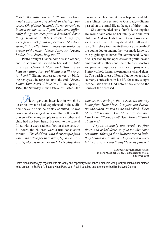*Shortly thereafter she said, 'If you only knew what consolation I received in kissing your cross! Oh, if Jesus' wounds did not console us in such moments! … If you knew how differently things are seen from a deathbed. Some things seem so worthless which, during life, were given such great importance.' She drew strength to suffer from a short but profound prayer of the heart: 'Jesus, I love You! Jesus, I adore You! Jesus, help me!'"*

Pietro brought Gianna home as she wished, and Sr. Virginia whispered to her sister, *"Take courage, Gianna! Mom and Dad are in heaven waiting for you! Would you like to go to them?"* Gianna expressed her yes by blinking her eyes. She repeated until the end, *"Jesus, I love You! Jesus, I love You!"* On April 28, 1962, the Saturday in the Octave of Easter—the

ietro gave an interview in which he described what he had experienced in those difficult days. At first, he frankly admitted, he was down and discouraged and asked himself how the prayers of so many people to save a mother and child had not been heard. He went to the funeral filled with a deep sadness. Yet, in these sorrowful hours, the children were a true consolation for him. *"The children, with their simple faith which was stronger than mine, left me no way out. 'If Mom is in heaven and she is okay, then* 

day on which her daughter was baptized and, like her siblings, consecrated to Our Lady—Gianna passed on to eternal life at the age of thirty-nine.

She commended herself to God, trusting that He would take care of her family and the four children. And so He did. Yet, Divine Providence went even further. The day she died, He allowed a ray of His glory to shine forth—once the death of the young doctor and mother was made known, a true pilgrimage to her coffin commenced. Whole flocks passed by the open casket in gratitude and amazement: mothers and their children, doctors and patients, employees from the company where Pietro worked, farmers, teenagers, sick and elderly. The parish priest of Ponte Nuovo never heard so many confessions in his life for many sought reconciliation with God before they entered the house of the deceased.

*why are you crying?' they asked. On the way home from Holy Mass, five-year-old Pierluigi, the oldest, turned to me and asked, 'Does Mom still see me? Does Mom still hear me? Can Mom still touch me? Does Mom still think about me?'* 

*"I spontaneously answered yes four times and asked Jesus to give me this same certainty. Although the children were so little, they helped me so much. They were a powerful incentive to keep living life to its fullest."*

> Source: Hildegard Brem OCist, In der Freude der Liebe, Gianna Beretta Molla, Salterrae 2005

Pietro Molla had the joy, together with his family and especially with Gianna Emanuela who greatly resembles her mother, to be present in St. Peter's Square when Pope John Paul II beatified and later canonized his beloved Gianna.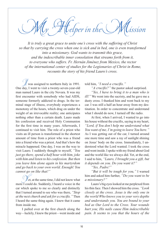$H$  lelper in the Mission

*It is truly a great grace to unite one's cross with the suffering of Christ so that by carrying the cross when one is sick and in bed, one is even transformed into a missionary. God wants to transmit this grace, and the indescribable inner consolation that streams forth from it, to everyone who suffers. Fr. Hernán Jiménez from Mexico, the rector of the international center of studies for the Legionaries of Christ in Rome, recounts the story of his friend Lauro's cross.*

 $\mathbb Z$  was assigned to northern Italy in 1991. One day, I went to visit a twenty-seven-year-old man named Lauro in the city Novara. It was my first encounter with somebody who had AIDS, someone formerly addicted to drugs. In the terminal stage of illness, everybody experiences a monotony of the hours, which drag on under the weight of an irrevocable reality; one anticipates nothing other than a certain death. Lauro made his confession and received Holy Communion for the first time in many years. Afterwards, I continued to visit him. The role of a priest who visits an ill person is transformed in the shortest amount of time from a priest who was a friend into a friend who was a priest. And that's how the miracle happened. One day, I was on the way to visit Lauro. I suddenly thought to myself, *"You just go there, spend a half hour with him, joke with him and listen to his confession. But then you leave him alone again in his martyrdom and go back to your own world. Enough! You cannot go on like that!"*

et, at the same time, I did not know what more I could do. Suddenly, I heard a voice in the car which spoke to me so clearly and distinctly that I turned around to see who was there, *"Stop at the next church and ask for a crucifix."* Then I heard the same thing again. I knew that it came from inside me.

I pulled over at the first church along the way—luckily, I knew the priest—went inside and told him, *"I need a crucifix."* 

*"A crucifix?"* the pastor asked surprised.

*"Yes, I have to bring it to a man who is ill!*" We went into the sacristy, and he gave me a dusty cross. I thanked him and went back to my car. I was still a half an hour away from my destination. In order to concentrate and understand what I should do now, I turned off the radio.

At first, when I arrived, I wanted to go into his house without the crucifix, saying in my heart, *"Lord, if You don't help me understand what You want of me, I'm going to leave You here."*  As I was getting out of the car, I turned around one more time and saw a ray of sunlight shining on Jesus' body on the cross. Immediately, I understood what the Lord wanted. I took the cross and went inside. I spoke with my friend about God and the world like we always did. Yet, at the end, I said to him, *"Lauro, I brought you a gift, but it depends on you. Do you want it?"* 

*"Yes, Padre!"* 

*"But it will be tough for you,"* I warned him and asked him further, *"Do you want to be a missionary?"*

Lauro's big eyes looked at me perplexed from his thin face. Then I showed him the cross. *"Look closely at the cross. Jesus is the only one in the world Who knows you to your very depths and understands you. You are bound to your bed as Our Lord to the Cross. Your wounds hurt you; His nails cause Him indescribable pain. It seems to you that the hours of the*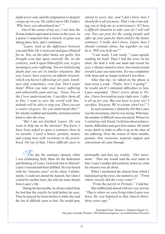*night never end, and the temptation to despair creeps up on you. He called out to His Father, 'Why have you abandoned me?'"*

Out of the corner of my eye, I saw how the ill man looked captivated at Jesus on the cross. As a priest, I suspected that a miracle of grace was taking place here, and I continued,

*"Lauro, look at the difference between you and Him. He is innocent and gave Himself for us. You, on the other hand, are guilty. You brought your fate upon yourself. He, on the contrary, took it upon Himself for you, to give meaning to your suffering. You are both facing death and you are in similar situations. But you, Lauro, have a power, an infinite treasure, which you haven't offered up yet: pain, loneliness and, sometimes, even fear. Don't waste them! When you take your heavy suffering and unbearable pain and say, 'Jesus, You on the Cross understand me. I sacrifice them all to You. I want to save the world with You,' nobody will be able to stop you. Then you are a source of grace. Do you understand this?"*  He silently nodded and tearfully stretched out his hand to take the cross.

*"But I am not finished, Lauro. Do you want to help me in the mission? You know, I have been asked to open a seminary here in six months. I need a house, permits, money and young men with vocations to the priesthood. On top of that, I have difficult cases to* 

 $\mathcal{L}_{\text{he}}$  day the seminary opened, while I was celebrating Holy Mass for the dedication and thinking of Lauro, God took him to Himself. Lauro's mission had been fulfilled. He was buried with his "mission cross" on his chest. Unfortunately, I could not attend the funeral; but when I visited his mother later, she told me some details from Lauro's life.

 During his last months, he always asked from his bed that the crucifix be held before his eyes. Then he prayed for hours before it while she read the list of difficult cases to him. He would pray

*attend to every day, and I don't know how I should do it all anymore. That's why I am asking you to help me as a missionary! If I have a difficult situation to take care of, I will call you. You can pray for the young people and offer up your pain for them and for the future seminary. I really don't know, Lauro, how I should continue alone, but together we can do it. Will you help me?"*

*"I am ready. I am ready,"* Lauro agreed, nodding his head. Then I laid the cross on his chest. He held it with one hand and closed his eyes. I silently started to leave, but turned around toward Lauro one more time. He was completely with Jesus and no longer realized I was there.

After that day, we talked on the phone at least twice a week. *"Padre, how's it going?",* he would ask.If I entrusted difficulties to him, Lauro responded, *"Don't worry about it, Padre. I have horrendous pain right now. I offer it all up for you. But you have to pray too! I sacrifice. You pray. We're a team, aren't we?"* I

In such moments, I distinctly felt that Lauro was the missionary, that he was strong. With time, the number of difficult cases increased. Whenever I visited my sick friend, I told him about achievements, difficulties and gave him names. He noted every detail in order to offer it up on the altar of his suffering. Over the course of three months, permits, first vocations, material support and conversions all came through.

profoundly and then say weakly, *"One more, mom.*" Then she would read the next name to him. Lauro's mother did not know, however, what his mission was all about.

When I mentioned the church from which I had picked up the cross, she started to cry: *"From where exactly did the cross come?"*

*"From the parish in Pernate,"* I told her. She sniffled and shared with me very moved, *"That is where we were living when Lauro was born. He was baptized in that church thirtythree years ago."* 

Translated from: Thomas u. Valentin Gögele LC, Das ganz normale Wunder, 100 Glaubenszeugnisse von katholischen Priestern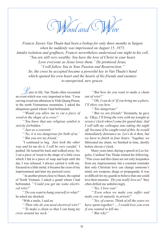Wood and CW

*Francis Xavier Van Thuân had been a bishop for only three months in Saigon when he suddenly was imprisoned on August 15, 1975. Amidst isolation and gruffness, Francis nevertheless understood one night in his cell, "You are still very wealthy. You have the love of Christ in your heart. Love everyone as Jesus loves them." He promised Jesus, "I will follow You in Your Passion and Resurrection." So, the cross he accepted became a powerful key in Van Thuân's hand which opened his own heart and the hearts of his friends and enemies to unexpected, new graces.*

Later in life, Van Thuân often recounted an event which was very important to him. "I was carving wood one afternoon in Vinh-Quang Prison, in the north Vietnamese mountains. I asked the ubiquitous guard whom I had befriended,

*"'Would you allow me to cut a piece of wood in the shape of a cross?'*

*"'You know that any religious symbol is strictly forbidden.'*

*"'Just as a souvenir.'*

*"'No, it is too dangerous for both of us.' "'But you are my friend,'*

*"*I continued to beg. *'Just look the other way and let me do it. I will be very careful,'* I pushed. He turned his back and walked away. So, I cut a piece of wood in the shape of a little cross which I hid in a piece of soap and kept until the day I was released. I always carried it with me. Encased in a little metal, it became the cross of my imprisonment and later my pectoral cross.

*"* In another prison close to Hanoi, the capital of North Vietnam, I asked a guard whom I had befriended, *"'Could you get me some electrical wire?'*

*"'Do you want to hang yourself or what?'* he asked me shocked.

"With a smile, I said no.

*"'Then why do you need electrical wire?' "'To make a chain so that I can hang my cross around my neck.'*

*"'But how do you want to make a chain out of wire?'*

*"'Oh, I can do it! If you bring me a pliers, I'll show you how.'*

*"'Too dangerous!'*

*"'But we are friends!'* Hesitantly, he gave in, *'Okay, I'll bring the wire with me tonight at seven o'clock when I come for guard duty. And I will talk my colleague into taking the night off, because if he caught wind of this, he would immediately denounce us. Let's do it then, but we have to finish in four hours.'* Together, we fabricated my chain; we finished in time, shortly before eleven o'clock.

Many years later, during a speech in Los Angeles, Cardinal Van Thuân related the following. "This cross and this chain are not only keepsakes from my imprisonment, but a constant reminder that only Christian love can change someone's mind, not weapons, drugs or propaganda. It was so difficult for my guards to believe that one could love their enemies. *'Do you really love us?'* they often drilled me unbelievingly.

*"'Yes, I love you!'*

*"'Even when we make you suffer and make you sit unjustly in prison?'*

*"'Yes, of course. Think of all the years we have spent together! … I would love you even if you wanted to kill me.'*

*"'But why?'*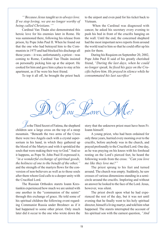*"'Because Jesus taught us to always love. If we stop loving, we are no longer worthy of being called Christians.'"*

Cardinal Van Thuân also demonstrated this heroic love for his enemies later in Rome. He was summoned there, following his release from prison, by Pope John Paul II. When he found out that the one who had betrayed him to the Communists in 1975 and had blocked his discharge all those years—it was, unfortunately, a priest—was coming to Rome, Cardinal Van Thuân insisted on personally picking him up at the airport. He cooked for him and gave him a place to stay at his apartment, as if he were his best friend.

To top it all off, he brought the priest back

to the airport and even paid for his ticket back to Vietnam.

 When the Cardinal was diagnosed with cancer, he asked his secretary every evening to push his bed in front of the crucifix hanging on the wall. Until the end, the concerned shepherd had the most important news reports from around the world read to him so that he could offer up his pain for them.

During his Requiem on September 20, 2002, Pope John Paul II said of his greatly cherished friend, *"During the last days, when he could no longer speak, he fixed his gaze on the Crucifix before him. He prayed in silence while he consummated his last sacrifice"*



 $\mathbb Z_n$  the Third Secret of Fatima, the shepherd children saw a large cross on the top of a steep mountain. "Beneath the two arms of the Cross there were two Angels each with a crystal aspersorium in his hand, in which they gathered up the blood of the Martyrs and with it sprinkled the souls that were making their way to God." And so it happens, as Pope St. John Paul II expressed it, *"in a wonderful exchange of spiritual goods, the holiness of one to the benefit of the other,"* and the strength of the martyrs flows for the conversion of non-believers as well as to those souls after them whom God calls to a deeper unity with the Crucified Lord.

The Russian Orthodox starets Ioann Krestiankin experienced how much we are united with one another in the "communion of the saints" through this exchange of grace. He told some of his spiritual children the following event regarding Communist Russia under Breshnev as if it had happened to some other priest. Only much later did it occur to the one who wrote down the

story that the unknown priest must have been Fr. Ioann himself.

A young priest, who had been ordained for only three years, hurried every morning over to the crucifix, before anybody was in the church, and prayed profoundly to the Crucified Lord. One day, as he was praying on his knees with his forehead resting on the Lord's pierced feet, he heard the following words from the cross: *"Can you love me like they love me?"*

The priest sprung to his feet and turned around. The church was empty. Suddenly, he saw crosses of various dimensions standing in a semicircle around the crucifix. Imploring and without an answer he looked to the face of the Lord. Jesus, however, was silent.

The priest dwelt upon what he had experienced the rest of the day, but it was not until evening that he finally went to his holy spiritual director, himself a living martyr, and told him what happened. The starets interrupted the account of his spiritual son with the earnest question, *"And*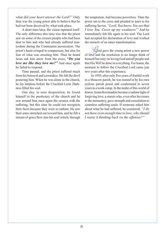*what did your heart answer the Lord?"* Only then was the young priest able to believe that he had not been deceived by what took place.

A short time later, the vision repeated itself. The only difference this time was that the priest saw on some of the crosses people who had been dear to him and who had already suffered martyrdom during the Communist persecution. The priest's heart cringed in compassion, but also for fear of what was awaiting him. Then he heard Jesus ask him anew from the cross, *"Do you love me like they love me?"* And once again he failed to respond.

Time passed, and the priest suffered much from his betrayal and cowardice. He felt the devil pestering him. When he was alone in the church, he lay helpless before the Crucified Lord. Darkness filled his soul.

One day, in near desperation, he found himself in the presbytery of the church and he saw around him once again the crosses with the suffering, but this time he could not recognize their faces because they were so radiant. He saw their arms stretched out toward him, and he felt a stream of grace flow into his soul which, through the temptation, had become powerless. Then the priest ran to the cross and pleaded in tears to his suffering Savior, *"Lord, You know, You see that I love You. Cover up my weakness!"* And he immediately felt life again in his soul. The Lord had accepted his declaration of love and worked the miracle of an inner transformation.

 $\mathcal{Q}_0$  gave the young priest a new power of love and the resolution to no longer think of himself but only on loving God and all people and that His Will be done in everything. For Ioann, the moment to follow the Crucified Lord came just two years after this experience.

In 1950, after only five years of fruitful work in a Moscow parish, he was turned in by his own jealous parish priest and condemned to seven years in a work camp. In the midst of this world of horror, Ioann Krestiankin became a radiant light of forgiving love, a starets who, even after his return to the monastery, gave strength and consolation to countless suffering souls. If someone asked him about what he had suffered, he countered, *"I do not have even enough time to love, why should I waste it thinking back on the offenses?"*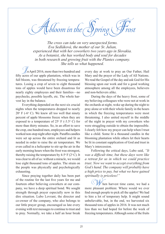Abloom in the Spring

*The cross can take on very unexpected forms. Eva Sedláková, the mother of our Sr. Julian, experienced that with her coworkers two years ago in Slovakia. As a botanist, she has worked body and soul for decades in both research and growing fruit with the Plantex company. She tells us what happened.*

 $\mathbb Z$ n April 2016, more than two hundred and fifty acres of our apple plantation, which was in full bloom, was threatened by freezing temperatures. Losing a crop of seven to eight thousand tons of apples would have been disastrous for nearly eighty employees and their families—no paychecks, possible layoffs, etc. The whole harvest lay in the balance.

Everything depended on the next six crucial nights when the temperatures dropped to nearly  $20^{\circ}$  F (-6 $^{\circ}$  C). We knew all too well that ninety percent of apple blossoms freeze when they are exposed to a temperature of  $25^{\circ}$  F (-3.5° C) for more than thirty minutes. So, in an effort to save the crop, one hundred men, employees and helpers worked non-stop night after night. Paraffin candles were set up across the entire orchard and lit as needed in order to raise the air temperature. We even called in a helicopter to stir up the air in the early morning hours when the frost was strongest, thereby raising the temperature by  $4-5^{\circ}$  F (2°C). It was clear to all of us: without a miracle, we would lose eight thousand tons of apples. The strain on the people was physically and psychologically exhausting.

Since praying together daily has been part of the routine for the last five years for me and fourteen other believing coworkers at our company, we have a deep spiritual bond. We sought strength through prayer especially now in this dire situation. Lubo Lovrant, the director and co-owner of the company, who also belongs to our little prayer group, encouraged us late every evening with text messages to continue to trust and to pray. Normally, we take a half an hour break

every day at work to pray an Our Father, Hail Mary and the prayer of the Lady of All Nations. We read the Gospel of the day and ask God for His blessing upon our work and for a good working atmosphere among all the employees, believers and non-believers alike.

During the days of the heavy frost, some of my believing colleagues who were not at work in the orchards at night, woke up during the night to pray alone or with their whole family in the hours in which the freezing temperatures were most threatening. I also united myself in the middle of the night in prayer with my coworkers who were struggling outside to obtain the impossible. I clearly felt how my prayer can help when I trust like a child. Some lit a thousand candles in the blooming plantation while others let their hearts be lit in constant supplication of God and trust in Mary's intercession.

Following the critical days, Lubo said, *"It was a difficult time, but these days were like a retreat for us in which we could practice trust. Now we want to accept everything from God's hand. The company will probably have a high price to pay, but what we have gained spiritually is priceless!"*

hen harvest time came, we had a more pleasant problem: Where would we ever find enough people to pick all the apples! We had to hire a lot of temporary help. It might sound unbelievable, but, in the end, we harvested six thousand tons of apples in 2016. It was not much less than we had hoped for before the week of freezing temperatures. Although some of the fruits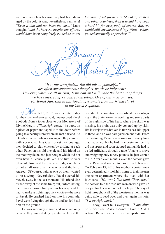were not first class because they had been damaged by the cold; it was, nevertheless, a miracle! *"Even if that had not been the case,"* Lubo thought, *"and the harvest, despite our efforts, would have been completely ruined as it was*  *for many fruit farmers in Slovakia, Austria and other countries, then it would have been a hard hit for everybody of course. But, we would still say the same thing: What we have gained spiritually is priceless!"*

ecause My Mother's Love

*"It's your own fault… You did this to yourself…" are often our spontaneous thoughts, words or judgments. However, when we allow Him, Jesus can and will make the best out of things we have messed up or caused ourselves. One of our missionaries, Fr. Tomáš Ján, shared this touching example from his friend Pavel in the Czech Republic.*

 $\ell$  arch 16, 2012, was the fateful day for then twenty-five-year-old, unemployed Pavel Svoboda from a town close to our Monastery of Divine Mercy. *"I'll be right back!"* he wrote on a piece of paper and taped it to the door before going to a nearby store where he met a friend. As it tends to happen when showing off, they came up with a crazy, reckless idea. To test their courage, they decided to play chicken by driving at each other, Pavel on his old bicycle and his friend on the motorcycle he had just bought which did not even have a license plate yet. The first to veer off would lose, and the one who dodges out later or not at all would be the winner and the hero. Agreed! Of course, neither one of them wanted to be a wimp. Nevertheless, Pavel steered his bicycle away in the last moment. His friend also turned away at the same time; but, unfortunately, there was a power line pole in his way and he had to make a lightning-quick choice—the pole or Pavel. He crashed head-on into his comrade. Pavel went flying through the air and landed head first on the ground.

He was seriously injured and survived only because they immediately operated on him at the hospital. His condition was critical: hemorrhaging in the brain, extreme swelling and some parts of the right side of his head, where the skull was missing, his brain was only covered up by skin. His lower jaw was broken in five places, his upper in three, and he was paralyzed on one side. From the beginning, Pavel was conscious of everything that happened, but he had little desire to live. He did not speak and soon stopped eating. He had to be fed artificially through a tube. Unable to move and weighing only ninety pounds, he just wanted to die. After eleven months, even the doctors gave up on Pavel and wanted to move him to hospice. On February 19, 2013, his mother Renata, however, determinedly took him home to their meager one-room apartment where she lived with her four sons. *"He won't live until Christmas,"* the doctors told the resolute woman who gave up her job for her son, but not her hope. The ray of light throughout all of the worrisome months was being able to read over and over again his note, *"I'll be right back!"*

Today, Pavel tells everyone, *"I am alive only because of my mother's love."* And it is true! Renata learned from therapists how to